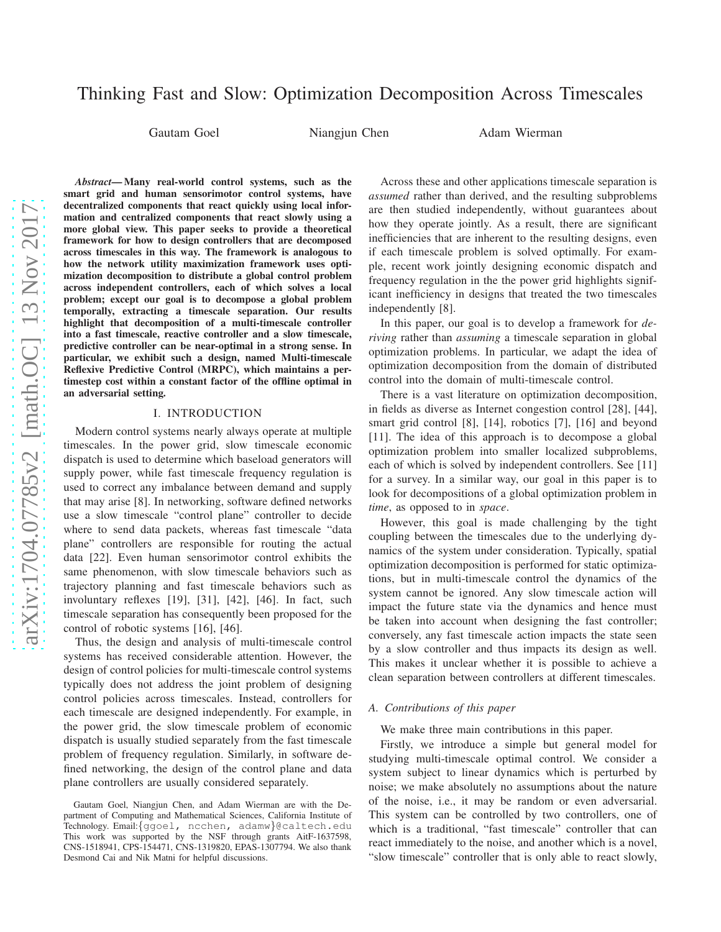Gautam Goel **Niangjun Chen** Adam Wierman

arXiv:1704.07785v2 [math.OC] 13 Nov 2017 [arXiv:1704.07785v2 \[math.OC\] 13 Nov 2017](http://arxiv.org/abs/1704.07785v2)

*Abstract*— Many real-world control systems, such as the smart grid and human sensorimotor control systems, have decentralized components that react quickly using local information and centralized components that react slowly using a more global view. This paper seeks to provide a theoretical framework for how to design controllers that are decomposed across timescales in this way. The framework is analogous to how the network utility maximization framework uses optimization decomposition to distribute a global control problem across independent controllers, each of which solves a local problem; except our goal is to decompose a global problem temporally, extracting a timescale separation. Our results highlight that decomposition of a multi-timescale controller into a fast timescale, reactive controller and a slow timescale, predictive controller can be near-optimal in a strong sense. In particular, we exhibit such a design, named Multi-timescale Reflexive Predictive Control (MRPC), which maintains a pertimestep cost within a constant factor of the offline optimal in an adversarial setting.

# I. INTRODUCTION

Modern control systems nearly always operate at multiple timescales. In the power grid, slow timescale economic dispatch is used to determine which baseload generators will supply power, while fast timescale frequency regulation is used to correct any imbalance between demand and supply that may arise [8]. In networking, software defined networks use a slow timescale "control plane" controller to decide where to send data packets, whereas fast timescale "data plane" controllers are responsible for routing the actual data [22]. Even human sensorimotor control exhibits the same phenomenon, with slow timescale behaviors such as trajectory planning and fast timescale behaviors such as involuntary reflexes [19], [31], [42], [46]. In fact, such timescale separation has consequently been proposed for the control of robotic systems [16], [46].

Thus, the design and analysis of multi-timescale control systems has received considerable attention. However, the design of control policies for multi-timescale control systems typically does not address the joint problem of designing control policies across timescales. Instead, controllers for each timescale are designed independently. For example, in the power grid, the slow timescale problem of economic dispatch is usually studied separately from the fast timescale problem of frequency regulation. Similarly, in software defined networking, the design of the control plane and data plane controllers are usually considered separately.

Across these and other applications timescale separation is *assumed* rather than derived, and the resulting subproblems are then studied independently, without guarantees about how they operate jointly. As a result, there are significant inefficiencies that are inherent to the resulting designs, even if each timescale problem is solved optimally. For example, recent work jointly designing economic dispatch and frequency regulation in the the power grid highlights significant inefficiency in designs that treated the two timescales independently [8].

In this paper, our goal is to develop a framework for *deriving* rather than *assuming* a timescale separation in global optimization problems. In particular, we adapt the idea of optimization decomposition from the domain of distributed control into the domain of multi-timescale control.

There is a vast literature on optimization decomposition, in fields as diverse as Internet congestion control [28], [44], smart grid control [8], [14], robotics [7], [16] and beyond [11]. The idea of this approach is to decompose a global optimization problem into smaller localized subproblems, each of which is solved by independent controllers. See [11] for a survey. In a similar way, our goal in this paper is to look for decompositions of a global optimization problem in *time*, as opposed to in *space*.

However, this goal is made challenging by the tight coupling between the timescales due to the underlying dynamics of the system under consideration. Typically, spatial optimization decomposition is performed for static optimizations, but in multi-timescale control the dynamics of the system cannot be ignored. Any slow timescale action will impact the future state via the dynamics and hence must be taken into account when designing the fast controller; conversely, any fast timescale action impacts the state seen by a slow controller and thus impacts its design as well. This makes it unclear whether it is possible to achieve a clean separation between controllers at different timescales.

# *A. Contributions of this paper*

We make three main contributions in this paper.

Firstly, we introduce a simple but general model for studying multi-timescale optimal control. We consider a system subject to linear dynamics which is perturbed by noise; we make absolutely no assumptions about the nature of the noise, i.e., it may be random or even adversarial. This system can be controlled by two controllers, one of which is a traditional, "fast timescale" controller that can react immediately to the noise, and another which is a novel, "slow timescale" controller that is only able to react slowly,

Gautam Goel, Niangjun Chen, and Adam Wierman are with the Department of Computing and Mathematical Sciences, California Institute of Technology. Email:{ggoel, ncchen, adamw}@caltech.edu This work was supported by the NSF through grants AitF-1637598, CNS-1518941, CPS-154471, CNS-1319820, EPAS-1307794. We also thank Desmond Cai and Nik Matni for helpful discussions.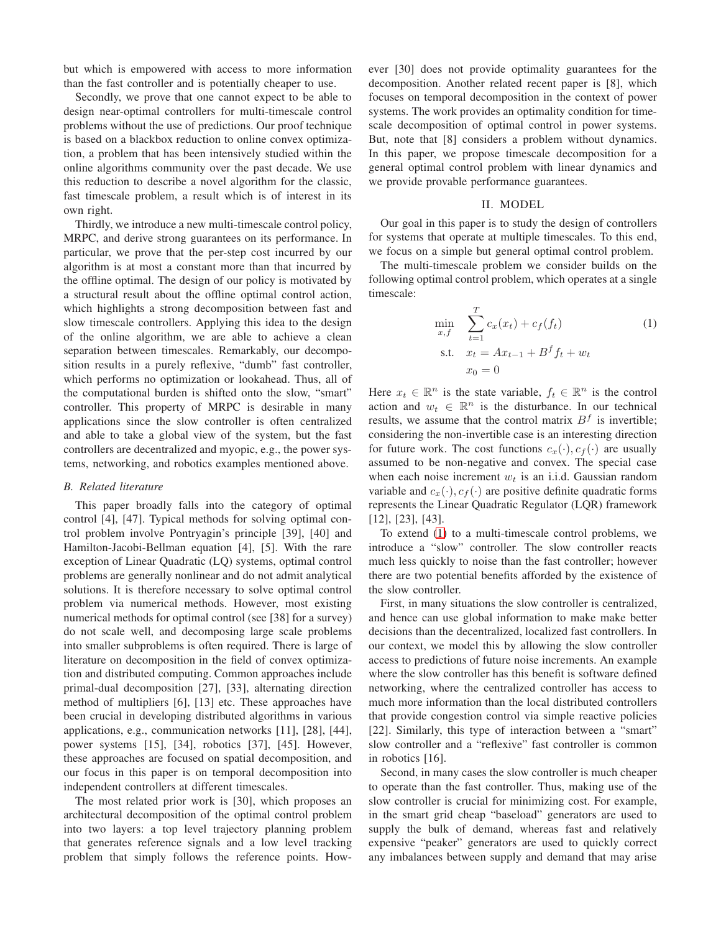but which is empowered with access to more information than the fast controller and is potentially cheaper to use.

Secondly, we prove that one cannot expect to be able to design near-optimal controllers for multi-timescale control problems without the use of predictions. Our proof technique is based on a blackbox reduction to online convex optimization, a problem that has been intensively studied within the online algorithms community over the past decade. We use this reduction to describe a novel algorithm for the classic, fast timescale problem, a result which is of interest in its own right.

Thirdly, we introduce a new multi-timescale control policy, MRPC, and derive strong guarantees on its performance. In particular, we prove that the per-step cost incurred by our algorithm is at most a constant more than that incurred by the offline optimal. The design of our policy is motivated by a structural result about the offline optimal control action, which highlights a strong decomposition between fast and slow timescale controllers. Applying this idea to the design of the online algorithm, we are able to achieve a clean separation between timescales. Remarkably, our decomposition results in a purely reflexive, "dumb" fast controller, which performs no optimization or lookahead. Thus, all of the computational burden is shifted onto the slow, "smart" controller. This property of MRPC is desirable in many applications since the slow controller is often centralized and able to take a global view of the system, but the fast controllers are decentralized and myopic, e.g., the power systems, networking, and robotics examples mentioned above.

### *B. Related literature*

This paper broadly falls into the category of optimal control [4], [47]. Typical methods for solving optimal control problem involve Pontryagin's principle [39], [40] and Hamilton-Jacobi-Bellman equation [4], [5]. With the rare exception of Linear Quadratic (LQ) systems, optimal control problems are generally nonlinear and do not admit analytical solutions. It is therefore necessary to solve optimal control problem via numerical methods. However, most existing numerical methods for optimal control (see [38] for a survey) do not scale well, and decomposing large scale problems into smaller subproblems is often required. There is large of literature on decomposition in the field of convex optimization and distributed computing. Common approaches include primal-dual decomposition [27], [33], alternating direction method of multipliers [6], [13] etc. These approaches have been crucial in developing distributed algorithms in various applications, e.g., communication networks [11], [28], [44], power systems [15], [34], robotics [37], [45]. However, these approaches are focused on spatial decomposition, and our focus in this paper is on temporal decomposition into independent controllers at different timescales.

The most related prior work is [30], which proposes an architectural decomposition of the optimal control problem into two layers: a top level trajectory planning problem that generates reference signals and a low level tracking problem that simply follows the reference points. However [30] does not provide optimality guarantees for the decomposition. Another related recent paper is [8], which focuses on temporal decomposition in the context of power systems. The work provides an optimality condition for timescale decomposition of optimal control in power systems. But, note that [8] considers a problem without dynamics. In this paper, we propose timescale decomposition for a general optimal control problem with linear dynamics and we provide provable performance guarantees.

### <span id="page-1-0"></span>II. MODEL

Our goal in this paper is to study the design of controllers for systems that operate at multiple timescales. To this end, we focus on a simple but general optimal control problem.

The multi-timescale problem we consider builds on the following optimal control problem, which operates at a single timescale:

$$
\min_{x,f} \sum_{t=1}^{T} c_x(x_t) + c_f(f_t)
$$
\n
$$
\text{s.t.} \quad x_t = Ax_{t-1} + B^f f_t + w_t
$$
\n
$$
x_0 = 0
$$
\n(1)

Here  $x_t \in \mathbb{R}^n$  is the state variable,  $f_t \in \mathbb{R}^n$  is the control action and  $w_t \in \mathbb{R}^n$  is the disturbance. In our technical results, we assume that the control matrix  $B<sup>f</sup>$  is invertible; considering the non-invertible case is an interesting direction for future work. The cost functions  $c_x(\cdot)$ ,  $c_f(\cdot)$  are usually assumed to be non-negative and convex. The special case when each noise increment  $w_t$  is an i.i.d. Gaussian random variable and  $c_x(\cdot)$ ,  $c_f(\cdot)$  are positive definite quadratic forms represents the Linear Quadratic Regulator (LQR) framework [12], [23], [43].

To extend [\(1\)](#page-1-0) to a multi-timescale control problems, we introduce a "slow" controller. The slow controller reacts much less quickly to noise than the fast controller; however there are two potential benefits afforded by the existence of the slow controller.

First, in many situations the slow controller is centralized, and hence can use global information to make make better decisions than the decentralized, localized fast controllers. In our context, we model this by allowing the slow controller access to predictions of future noise increments. An example where the slow controller has this benefit is software defined networking, where the centralized controller has access to much more information than the local distributed controllers that provide congestion control via simple reactive policies [22]. Similarly, this type of interaction between a "smart" slow controller and a "reflexive" fast controller is common in robotics [16].

Second, in many cases the slow controller is much cheaper to operate than the fast controller. Thus, making use of the slow controller is crucial for minimizing cost. For example, in the smart grid cheap "baseload" generators are used to supply the bulk of demand, whereas fast and relatively expensive "peaker" generators are used to quickly correct any imbalances between supply and demand that may arise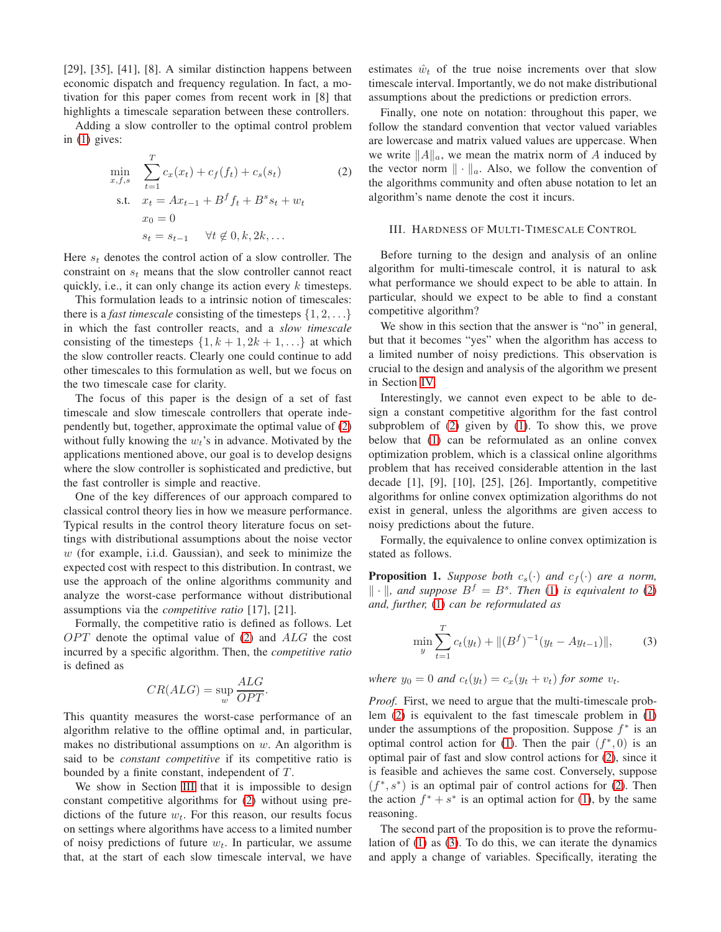[29], [35], [41], [8]. A similar distinction happens between economic dispatch and frequency regulation. In fact, a motivation for this paper comes from recent work in [8] that highlights a timescale separation between these controllers.

Adding a slow controller to the optimal control problem in [\(1\)](#page-1-0) gives:

$$
\min_{x, f, s} \sum_{t=1}^{T} c_x(x_t) + c_f(f_t) + c_s(s_t)
$$
\n
$$
\text{s.t.} \quad x_t = Ax_{t-1} + B^f f_t + B^s s_t + w_t
$$
\n
$$
x_0 = 0
$$
\n
$$
s_t = s_{t-1} \quad \forall t \notin 0, k, 2k, ...
$$
\n(2)

Here  $s_t$  denotes the control action of a slow controller. The constraint on  $s_t$  means that the slow controller cannot react quickly, i.e., it can only change its action every k timesteps.

This formulation leads to a intrinsic notion of timescales: there is a *fast timescale* consisting of the timesteps  $\{1, 2, \ldots\}$ in which the fast controller reacts, and a *slow timescale* consisting of the timesteps  $\{1, k+1, 2k+1, ...\}$  at which the slow controller reacts. Clearly one could continue to add other timescales to this formulation as well, but we focus on the two timescale case for clarity.

The focus of this paper is the design of a set of fast timescale and slow timescale controllers that operate independently but, together, approximate the optimal value of [\(2\)](#page-2-0) without fully knowing the  $w_t$ 's in advance. Motivated by the applications mentioned above, our goal is to develop designs where the slow controller is sophisticated and predictive, but the fast controller is simple and reactive.

One of the key differences of our approach compared to classical control theory lies in how we measure performance. Typical results in the control theory literature focus on settings with distributional assumptions about the noise vector  $w$  (for example, i.i.d. Gaussian), and seek to minimize the expected cost with respect to this distribution. In contrast, we use the approach of the online algorithms community and analyze the worst-case performance without distributional assumptions via the *competitive ratio* [17], [21].

Formally, the competitive ratio is defined as follows. Let  $OPT$  denote the optimal value of [\(2\)](#page-2-0) and  $ALG$  the cost incurred by a specific algorithm. Then, the *competitive ratio* is defined as

$$
CR(ALG) = \sup_{w} \frac{ALG}{OPT}.
$$

This quantity measures the worst-case performance of an algorithm relative to the offline optimal and, in particular, makes no distributional assumptions on  $w$ . An algorithm is said to be *constant competitive* if its competitive ratio is bounded by a finite constant, independent of  $T$ .

We show in Section [III](#page-2-1) that it is impossible to design constant competitive algorithms for [\(2\)](#page-2-0) without using predictions of the future  $w_t$ . For this reason, our results focus on settings where algorithms have access to a limited number of noisy predictions of future  $w_t$ . In particular, we assume that, at the start of each slow timescale interval, we have estimates  $\hat{w}_t$  of the true noise increments over that slow timescale interval. Importantly, we do not make distributional assumptions about the predictions or prediction errors.

<span id="page-2-0"></span>Finally, one note on notation: throughout this paper, we follow the standard convention that vector valued variables are lowercase and matrix valued values are uppercase. When we write  $||A||_a$ , we mean the matrix norm of A induced by the vector norm  $\|\cdot\|_a$ . Also, we follow the convention of the algorithms community and often abuse notation to let an algorithm's name denote the cost it incurs.

### <span id="page-2-1"></span>III. HARDNESS OF MULTI-TIMESCALE CONTROL

Before turning to the design and analysis of an online algorithm for multi-timescale control, it is natural to ask what performance we should expect to be able to attain. In particular, should we expect to be able to find a constant competitive algorithm?

We show in this section that the answer is "no" in general, but that it becomes "yes" when the algorithm has access to a limited number of noisy predictions. This observation is crucial to the design and analysis of the algorithm we present in Section [IV.](#page-4-0)

Interestingly, we cannot even expect to be able to design a constant competitive algorithm for the fast control subproblem of [\(2\)](#page-2-0) given by [\(1\)](#page-1-0). To show this, we prove below that [\(1\)](#page-1-0) can be reformulated as an online convex optimization problem, which is a classical online algorithms problem that has received considerable attention in the last decade  $[1]$ ,  $[9]$ ,  $[10]$ ,  $[25]$ ,  $[26]$ . Importantly, competitive algorithms for online convex optimization algorithms do not exist in general, unless the algorithms are given access to noisy predictions about the future.

Formally, the equivalence to online convex optimization is stated as follows.

<span id="page-2-3"></span>**Proposition 1.** *Suppose both*  $c_s(\cdot)$  *and*  $c_f(\cdot)$  *are a norm,*  $\|\cdot\|$ *, and suppose*  $B^f = B^s$ *. Then* [\(1\)](#page-1-0) *is equivalent to* [\(2\)](#page-2-0) *and, further,* [\(1\)](#page-1-0) *can be reformulated as*

<span id="page-2-2"></span>
$$
\min_{y} \sum_{t=1}^{T} c_t(y_t) + ||(B^f)^{-1}(y_t - Ay_{t-1})||, \tag{3}
$$

*where*  $y_0 = 0$  *and*  $c_t(y_t) = c_x(y_t + v_t)$  *for some*  $v_t$ *.* 

*Proof.* First, we need to argue that the multi-timescale problem [\(2\)](#page-2-0) is equivalent to the fast timescale problem in [\(1\)](#page-1-0) under the assumptions of the proposition. Suppose  $f^*$  is an optimal control action for [\(1\)](#page-1-0). Then the pair  $(f^*, 0)$  is an optimal pair of fast and slow control actions for [\(2\)](#page-2-0), since it is feasible and achieves the same cost. Conversely, suppose  $(f^*, s^*)$  is an optimal pair of control actions for [\(2\)](#page-2-0). Then the action  $f^* + s^*$  is an optimal action for [\(1\)](#page-1-0), by the same reasoning.

The second part of the proposition is to prove the reformulation of [\(1\)](#page-1-0) as [\(3\)](#page-2-2). To do this, we can iterate the dynamics and apply a change of variables. Specifically, iterating the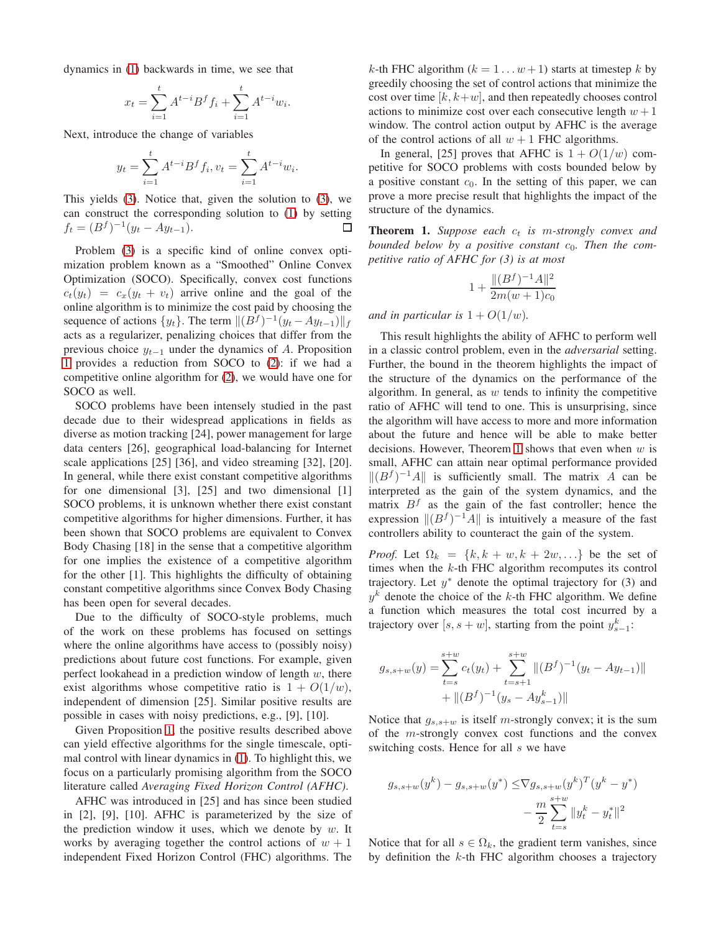dynamics in [\(1\)](#page-1-0) backwards in time, we see that

$$
x_t = \sum_{i=1}^t A^{t-i} B^f f_i + \sum_{i=1}^t A^{t-i} w_i.
$$

Next, introduce the change of variables

$$
y_t = \sum_{i=1}^t A^{t-i} B^f f_i, v_t = \sum_{i=1}^t A^{t-i} w_i
$$

.

This yields [\(3\)](#page-2-2). Notice that, given the solution to [\(3\)](#page-2-2), we can construct the corresponding solution to [\(1\)](#page-1-0) by setting  $f_t = (B^f)^{-1}(y_t - Ay_{t-1}).$  $\Box$ 

Problem [\(3\)](#page-2-2) is a specific kind of online convex optimization problem known as a "Smoothed" Online Convex Optimization (SOCO). Specifically, convex cost functions  $c_t(y_t) = c_x(y_t + v_t)$  arrive online and the goal of the online algorithm is to minimize the cost paid by choosing the sequence of actions  $\{y_t\}$ . The term  $||(B^f)^{-1}(y_t - Ay_{t-1})||_f$ acts as a regularizer, penalizing choices that differ from the previous choice  $y_{t-1}$  under the dynamics of A. Proposition [1](#page-2-3) provides a reduction from SOCO to [\(2\)](#page-2-0): if we had a competitive online algorithm for [\(2\)](#page-2-0), we would have one for SOCO as well.

SOCO problems have been intensely studied in the past decade due to their widespread applications in fields as diverse as motion tracking [24], power management for large data centers [26], geographical load-balancing for Internet scale applications [25] [36], and video streaming [32], [20]. In general, while there exist constant competitive algorithms for one dimensional [3], [25] and two dimensional [1] SOCO problems, it is unknown whether there exist constant competitive algorithms for higher dimensions. Further, it has been shown that SOCO problems are equivalent to Convex Body Chasing [18] in the sense that a competitive algorithm for one implies the existence of a competitive algorithm for the other [1]. This highlights the difficulty of obtaining constant competitive algorithms since Convex Body Chasing has been open for several decades.

Due to the difficulty of SOCO-style problems, much of the work on these problems has focused on settings where the online algorithms have access to (possibly noisy) predictions about future cost functions. For example, given perfect lookahead in a prediction window of length  $w$ , there exist algorithms whose competitive ratio is  $1 + O(1/w)$ , independent of dimension [25]. Similar positive results are possible in cases with noisy predictions, e.g., [9], [10].

Given Proposition [1,](#page-2-3) the positive results described above can yield effective algorithms for the single timescale, optimal control with linear dynamics in [\(1\)](#page-1-0). To highlight this, we focus on a particularly promising algorithm from the SOCO literature called *Averaging Fixed Horizon Control (AFHC)*.

AFHC was introduced in [25] and has since been studied in [2], [9], [10]. AFHC is parameterized by the size of the prediction window it uses, which we denote by  $w$ . It works by averaging together the control actions of  $w + 1$ independent Fixed Horizon Control (FHC) algorithms. The

k-th FHC algorithm  $(k = 1 ... w + 1)$  starts at timestep k by greedily choosing the set of control actions that minimize the cost over time  $[k, k+w]$ , and then repeatedly chooses control actions to minimize cost over each consecutive length  $w + 1$ window. The control action output by AFHC is the average of the control actions of all  $w + 1$  FHC algorithms.

In general, [25] proves that AFHC is  $1 + O(1/w)$  competitive for SOCO problems with costs bounded below by a positive constant  $c_0$ . In the setting of this paper, we can prove a more precise result that highlights the impact of the structure of the dynamics.

<span id="page-3-0"></span>Theorem 1. Suppose each  $c_t$  is m-strongly convex and *bounded below by a positive constant*  $c_0$ *. Then the competitive ratio of AFHC for (3) is at most*

$$
1+\frac{\|(B^f)^{-1}A\|^2}{2m(w+1)c_0}
$$

*and in particular is*  $1 + O(1/w)$ *.* 

This result highlights the ability of AFHC to perform well in a classic control problem, even in the *adversarial* setting. Further, the bound in the theorem highlights the impact of the structure of the dynamics on the performance of the algorithm. In general, as  $w$  tends to infinity the competitive ratio of AFHC will tend to one. This is unsurprising, since the algorithm will have access to more and more information about the future and hence will be able to make better decisions. However, Theorem [1](#page-3-0) shows that even when  $w$  is small, AFHC can attain near optimal performance provided  $||(B^f)^{-1}A||$  is sufficiently small. The matrix A can be interpreted as the gain of the system dynamics, and the matrix  $B<sup>f</sup>$  as the gain of the fast controller; hence the expression  $\|(B^f)^{-1}A\|$  is intuitively a measure of the fast controllers ability to counteract the gain of the system.

*Proof.* Let  $\Omega_k = \{k, k + w, k + 2w, ...\}$  be the set of times when the k-th FHC algorithm recomputes its control trajectory. Let  $y^*$  denote the optimal trajectory for (3) and  $y<sup>k</sup>$  denote the choice of the k-th FHC algorithm. We define a function which measures the total cost incurred by a trajectory over [ $s, s + w$ ], starting from the point  $y_{s-1}^k$ :

$$
g_{s,s+w}(y) = \sum_{t=s}^{s+w} c_t(y_t) + \sum_{t=s+1}^{s+w} ||(B^f)^{-1}(y_t - Ay_{t-1})||
$$
  
+  $||(B^f)^{-1}(y_s - Ay_{s-1}^h)||$ 

Notice that  $g_{s,s+w}$  is itself m-strongly convex; it is the sum of the m-strongly convex cost functions and the convex switching costs. Hence for all s we have

$$
g_{s,s+w}(y^k) - g_{s,s+w}(y^*) \leq \nabla g_{s,s+w}(y^k)^T (y^k - y^*)
$$

$$
- \frac{m}{2} \sum_{t=s}^{s+w} ||y_t^k - y_t^*||^2
$$

Notice that for all  $s \in \Omega_k$ , the gradient term vanishes, since by definition the  $k$ -th FHC algorithm chooses a trajectory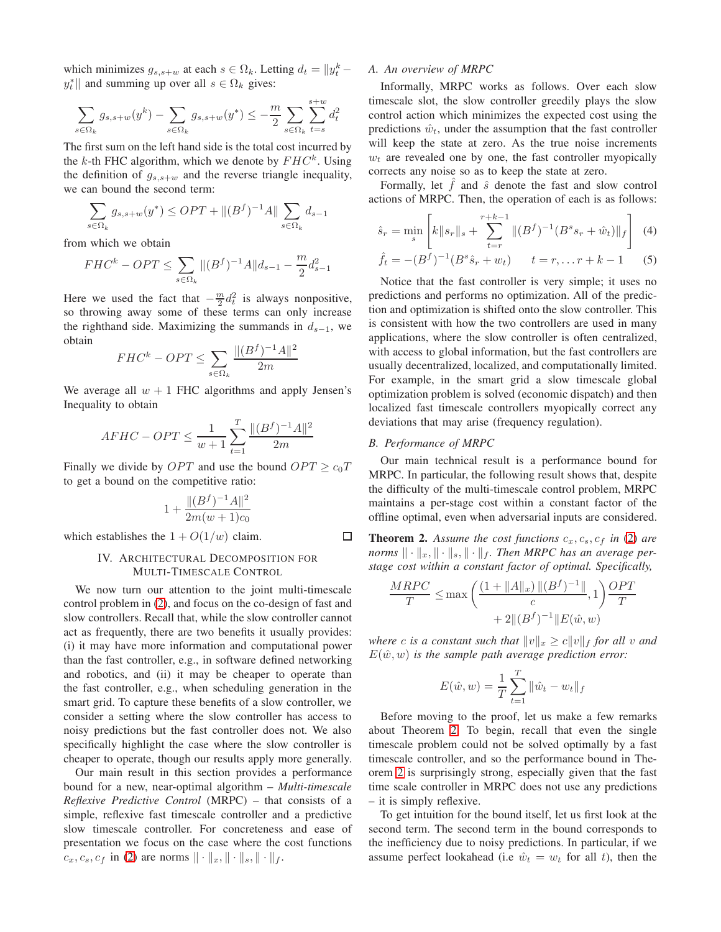which minimizes  $g_{s,s+w}$  at each  $s \in \Omega_k$ . Letting  $d_t = ||y_t^k$  $y_t^*$  and summing up over all  $s \in \Omega_k$  gives:

$$
\sum_{s \in \Omega_k} g_{s,s+w}(y^k) - \sum_{s \in \Omega_k} g_{s,s+w}(y^*) \leq -\frac{m}{2} \sum_{s \in \Omega_k} \sum_{t=s}^{s+w} d_t^2
$$

The first sum on the left hand side is the total cost incurred by the  $k$ -th FHC algorithm, which we denote by  $FHC^k$ . Using the definition of  $g_{s,s+w}$  and the reverse triangle inequality, we can bound the second term:

$$
\sum_{s \in \Omega_k} g_{s,s+w}(y^*) \le OPT + ||(B^f)^{-1}A|| \sum_{s \in \Omega_k} d_{s-1}
$$

from which we obtain

$$
FHC^{k} - OPT \le \sum_{s \in \Omega_k} \|(B^f)^{-1}A\|d_{s-1} - \frac{m}{2}d_{s-1}^2
$$

Here we used the fact that  $-\frac{m}{2}d_t^2$  is always nonpositive, so throwing away some of these terms can only increase the righthand side. Maximizing the summands in  $d_{s-1}$ , we obtain

$$
FHC^k - OPT \le \sum_{s \in \Omega_k} \frac{\|(B^f)^{-1}A\|^2}{2m}
$$

We average all  $w + 1$  FHC algorithms and apply Jensen's Inequality to obtain

$$
AFHC - OPT \le \frac{1}{w+1} \sum_{t=1}^{T} \frac{\|(B^f)^{-1}A\|^2}{2m}
$$

Finally we divide by *OPT* and use the bound  $OPT \geq c_0T$ to get a bound on the competitive ratio:

$$
1+\frac{\|(B^f)^{-1}A\|^2}{2m(w+1)c_0}
$$

<span id="page-4-0"></span>which establishes the  $1 + O(1/w)$  claim.

# IV. ARCHITECTURAL DECOMPOSITION FOR MULTI-TIMESCALE CONTROL

We now turn our attention to the joint multi-timescale control problem in [\(2\)](#page-2-0), and focus on the co-design of fast and slow controllers. Recall that, while the slow controller cannot act as frequently, there are two benefits it usually provides: (i) it may have more information and computational power than the fast controller, e.g., in software defined networking and robotics, and (ii) it may be cheaper to operate than the fast controller, e.g., when scheduling generation in the smart grid. To capture these benefits of a slow controller, we consider a setting where the slow controller has access to noisy predictions but the fast controller does not. We also specifically highlight the case where the slow controller is cheaper to operate, though our results apply more generally.

Our main result in this section provides a performance bound for a new, near-optimal algorithm – *Multi-timescale Reflexive Predictive Control* (MRPC) – that consists of a simple, reflexive fast timescale controller and a predictive slow timescale controller. For concreteness and ease of presentation we focus on the case where the cost functions  $c_x, c_s, c_f$  in [\(2\)](#page-2-0) are norms  $\|\cdot\|_x, \|\cdot\|_s, \|\cdot\|_f$ .

# *A. An overview of MRPC*

Informally, MRPC works as follows. Over each slow timescale slot, the slow controller greedily plays the slow control action which minimizes the expected cost using the predictions  $\hat{w}_t$ , under the assumption that the fast controller will keep the state at zero. As the true noise increments  $w_t$  are revealed one by one, the fast controller myopically corrects any noise so as to keep the state at zero.

Formally, let  $\hat{f}$  and  $\hat{s}$  denote the fast and slow control actions of MRPC. Then, the operation of each is as follows:

$$
\hat{s}_r = \min_{s} \left[ k \|s_r\|_s + \sum_{t=r}^{r+k-1} \| (B^f)^{-1} (B^s s_r + \hat{w}_t) \|_f \right] \tag{4}
$$

$$
\hat{f}_t = -(B^f)^{-1}(B^s \hat{s}_r + w_t) \qquad t = r, \dots r + k - 1 \tag{5}
$$

Notice that the fast controller is very simple; it uses no predictions and performs no optimization. All of the prediction and optimization is shifted onto the slow controller. This is consistent with how the two controllers are used in many applications, where the slow controller is often centralized, with access to global information, but the fast controllers are usually decentralized, localized, and computationally limited. For example, in the smart grid a slow timescale global optimization problem is solved (economic dispatch) and then localized fast timescale controllers myopically correct any deviations that may arise (frequency regulation).

### *B. Performance of MRPC*

 $\Box$ 

Our main technical result is a performance bound for MRPC. In particular, the following result shows that, despite the difficulty of the multi-timescale control problem, MRPC maintains a per-stage cost within a constant factor of the offline optimal, even when adversarial inputs are considered.

<span id="page-4-1"></span>**Theorem 2.** Assume the cost functions  $c_x, c_s, c_f$  in [\(2\)](#page-2-0) are *norms*  $\|\cdot\|_x, \|\cdot\|_s, \|\cdot\|_f$ . Then MRPC has an average per*stage cost within a constant factor of optimal. Specifically,*

$$
\frac{MRPC}{T} \le \max\left(\frac{(1 + \|A\|_x) \| (B^f)^{-1} \|}{c}, 1\right) \frac{OPT}{T} + 2 \| (B^f)^{-1} \| E(\hat{w}, w)
$$

*where c is a constant such that*  $||v||_x \ge c||v||_f$  *for all v and*  $E(\hat{w}, w)$  *is the sample path average prediction error:* 

$$
E(\hat{w}, w) = \frac{1}{T} \sum_{t=1}^{T} ||\hat{w}_t - w_t||_f
$$

Before moving to the proof, let us make a few remarks about Theorem [2.](#page-4-1) To begin, recall that even the single timescale problem could not be solved optimally by a fast timescale controller, and so the performance bound in Theorem [2](#page-4-1) is surprisingly strong, especially given that the fast time scale controller in MRPC does not use any predictions – it is simply reflexive.

To get intuition for the bound itself, let us first look at the second term. The second term in the bound corresponds to the inefficiency due to noisy predictions. In particular, if we assume perfect lookahead (i.e  $\hat{w}_t = w_t$  for all t), then the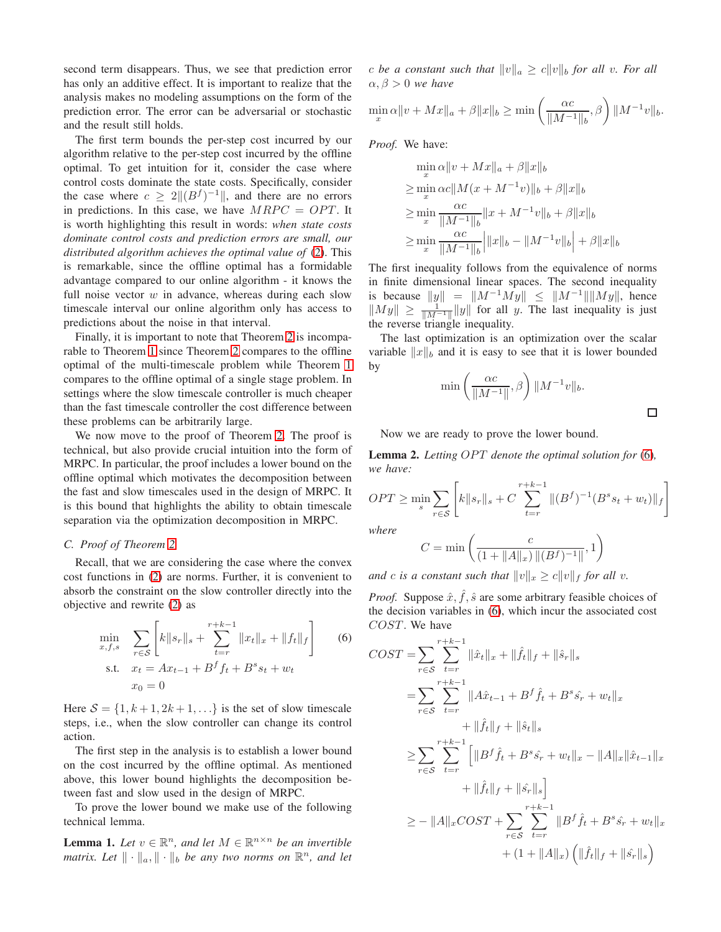second term disappears. Thus, we see that prediction error has only an additive effect. It is important to realize that the analysis makes no modeling assumptions on the form of the prediction error. The error can be adversarial or stochastic and the result still holds.

The first term bounds the per-step cost incurred by our algorithm relative to the per-step cost incurred by the offline optimal. To get intuition for it, consider the case where control costs dominate the state costs. Specifically, consider the case where  $c \geq 2||(B^f)^{-1}||$ , and there are no errors in predictions. In this case, we have  $MRPC = OPT$ . It is worth highlighting this result in words: *when state costs dominate control costs and prediction errors are small, our distributed algorithm achieves the optimal value of* [\(2\)](#page-2-0). This is remarkable, since the offline optimal has a formidable advantage compared to our online algorithm - it knows the full noise vector  $w$  in advance, whereas during each slow timescale interval our online algorithm only has access to predictions about the noise in that interval.

Finally, it is important to note that Theorem [2](#page-4-1) is incomparable to Theorem [1](#page-3-0) since Theorem [2](#page-4-1) compares to the offline optimal of the multi-timescale problem while Theorem [1](#page-3-0) compares to the offline optimal of a single stage problem. In settings where the slow timescale controller is much cheaper than the fast timescale controller the cost difference between these problems can be arbitrarily large.

We now move to the proof of Theorem [2.](#page-4-1) The proof is technical, but also provide crucial intuition into the form of MRPC. In particular, the proof includes a lower bound on the offline optimal which motivates the decomposition between the fast and slow timescales used in the design of MRPC. It is this bound that highlights the ability to obtain timescale separation via the optimization decomposition in MRPC.

# *C. Proof of Theorem [2](#page-4-1)*

Recall, that we are considering the case where the convex cost functions in [\(2\)](#page-2-0) are norms. Further, it is convenient to absorb the constraint on the slow controller directly into the objective and rewrite [\(2\)](#page-2-0) as

$$
\min_{x, f, s} \sum_{r \in S} \left[ k \|s_r\|_s + \sum_{t=r}^{r+k-1} \|x_t\|_x + \|f_t\|_f \right]
$$
\ns.t.

\n
$$
x_t = Ax_{t-1} + B^f f_t + B^s s_t + w_t
$$
\n
$$
x_0 = 0
$$
\n(6)

Here  $S = \{1, k+1, 2k+1, ...\}$  is the set of slow timescale steps, i.e., when the slow controller can change its control action.

The first step in the analysis is to establish a lower bound on the cost incurred by the offline optimal. As mentioned above, this lower bound highlights the decomposition between fast and slow used in the design of MRPC.

To prove the lower bound we make use of the following technical lemma.

<span id="page-5-1"></span>**Lemma 1.** Let  $v \in \mathbb{R}^n$ , and let  $M \in \mathbb{R}^{n \times n}$  be an invertible *matrix. Let*  $\|\cdot\|_a$ ,  $\|\cdot\|_b$  *be any two norms on*  $\mathbb{R}^n$ *, and let*  *c* be a constant such that  $||v||_a \ge c||v||_b$  for all v. For all  $\alpha, \beta > 0$  *we have* 

$$
\min_{x} \alpha \|v + Mx\|_{a} + \beta \|x\|_{b} \ge \min\left(\frac{\alpha c}{\|M^{-1}\|_{b}}, \beta\right) \|M^{-1}v\|_{b}.
$$

*Proof.* We have:

$$
\min_{x} \alpha \|v + Mx\|_{a} + \beta \|x\|_{b}
$$
\n
$$
\geq \min_{x} \alpha c \|M(x + M^{-1}v)\|_{b} + \beta \|x\|_{b}
$$
\n
$$
\geq \min_{x} \frac{\alpha c}{\|M^{-1}\|_{b}} \|x + M^{-1}v\|_{b} + \beta \|x\|_{b}
$$
\n
$$
\geq \min_{x} \frac{\alpha c}{\|M^{-1}\|_{b}} \|x\|_{b} - \|M^{-1}v\|_{b} + \beta \|x\|_{b}
$$

The first inequality follows from the equivalence of norms in finite dimensional linear spaces. The second inequality is because  $||y|| = ||M^{-1}My|| \le ||M^{-1}|| ||My||$ , hence  $\|My\| \ge \frac{1}{\|M^{-1}\|} \|y\|$  for all y. The last inequality is just the reverse triangle inequality.

The last optimization is an optimization over the scalar variable  $||x||_b$  and it is easy to see that it is lower bounded by

$$
\min\left(\frac{\alpha c}{\|M^{-1}\|}, \beta\right) \|M^{-1}v\|_b.
$$

 $\Box$ 

Now we are ready to prove the lower bound.

<span id="page-5-2"></span>**Lemma 2.** Letting OPT denote the optimal solution for [\(6\)](#page-5-0), *we have:*

$$
OPT \ge \min_{s} \sum_{r \in \mathcal{S}} \left[ k \|s_r\|_s + C \sum_{t=r}^{r+k-1} \| (B^f)^{-1} (B^s s_t + w_t) \|_f \right]
$$

*where*

$$
C = \min\left(\frac{c}{(1 + \|A\|_x) \|(B^f)^{-1}\|}, 1\right)
$$

*and c is a constant such that*  $||v||_x \ge c||v||_f$  *for all v*.

*Proof.* Suppose  $\hat{x}, \hat{f}, \hat{s}$  are some arbitrary feasible choices of the decision variables in [\(6\)](#page-5-0), which incur the associated cost COST. We have

<span id="page-5-0"></span>
$$
COST = \sum_{r \in S} \sum_{t=r}^{r+k-1} \|\hat{x}_t\|_x + \|\hat{f}_t\|_f + \|\hat{s}_r\|_s
$$
  
\n
$$
= \sum_{r \in S} \sum_{t=r}^{r+k-1} \|A\hat{x}_{t-1} + B^f \hat{f}_t + B^s \hat{s}_r + w_t\|_x
$$
  
\n
$$
+ \|\hat{f}_t\|_f + \|\hat{s}_t\|_s
$$
  
\n
$$
\geq \sum_{r \in S} \sum_{t=r}^{r+k-1} \left[ \|B^f \hat{f}_t + B^s \hat{s}_r + w_t\|_x - \|A\|_x \|\hat{x}_{t-1}\|_x + \|\hat{f}_t\|_f + \|\hat{s}_r\|_s \right]
$$
  
\n
$$
\geq - \|A\|_x COST + \sum_{r \in S} \sum_{t=r}^{r+k-1} \|B^f \hat{f}_t + B^s \hat{s}_r + w_t\|_x + (1 + \|A\|_x) \left( \|\hat{f}_t\|_f + \|\hat{s}_r\|_s \right)
$$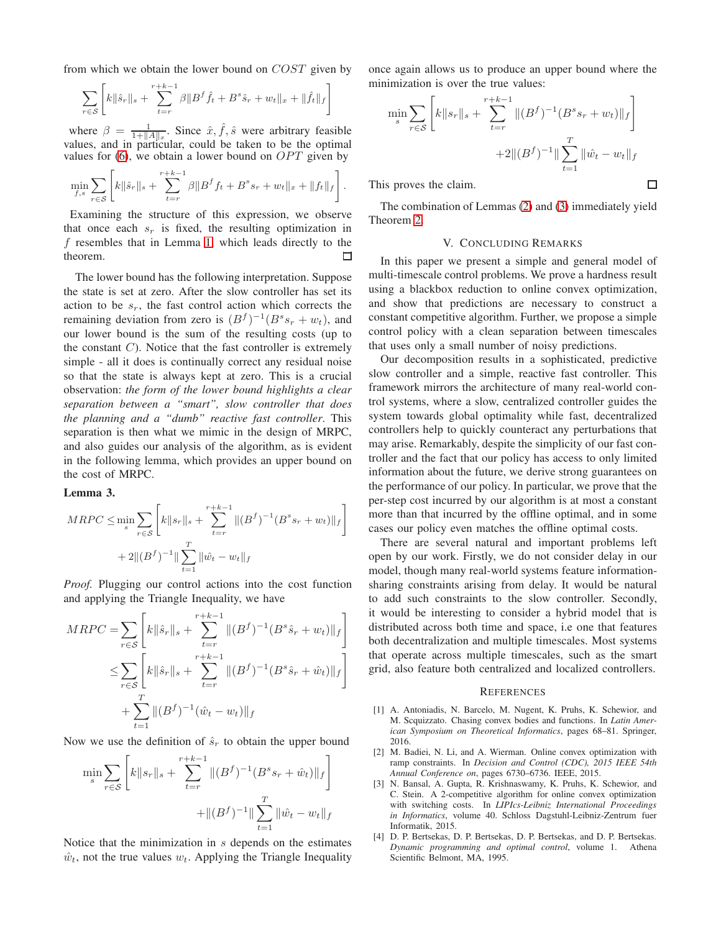from which we obtain the lower bound on COST given by

$$
\sum_{r \in S} \left[ k \|\hat{s}_r\|_s + \sum_{t=r}^{r+k-1} \beta \|B^f \hat{f}_t + B^s \hat{s}_r + w_t\|_x + \|\hat{f}_t\|_f \right]
$$

where  $\beta = \frac{1}{1 + ||A||_x}$ . Since  $\hat{x}, \hat{f}, \hat{s}$  were arbitrary feasible values, and in particular, could be taken to be the optimal values for  $(6)$ , we obtain a lower bound on  $OPT$  given by

$$
\min_{f,s} \sum_{r \in \mathcal{S}} \left[ k \|\hat{s}_r\|_s + \sum_{t=r}^{r+k-1} \beta \|B^f f_t + B^s s_r + w_t\|_x + \|f_t\|_f \right].
$$

Examining the structure of this expression, we observe that once each  $s_r$  is fixed, the resulting optimization in f resembles that in Lemma [1,](#page-5-1) which leads directly to the theorem.  $\Box$ 

The lower bound has the following interpretation. Suppose the state is set at zero. After the slow controller has set its action to be  $s_r$ , the fast control action which corrects the remaining deviation from zero is  $(B^f)^{-1}(B^s s_r + w_t)$ , and our lower bound is the sum of the resulting costs (up to the constant  $C$ ). Notice that the fast controller is extremely simple - all it does is continually correct any residual noise so that the state is always kept at zero. This is a crucial observation: *the form of the lower bound highlights a clear separation between a "smart", slow controller that does the planning and a "dumb" reactive fast controller*. This separation is then what we mimic in the design of MRPC, and also guides our analysis of the algorithm, as is evident in the following lemma, which provides an upper bound on the cost of MRPC.

## <span id="page-6-0"></span>Lemma 3.

$$
MRPC \leq \min_{s} \sum_{r \in \mathcal{S}} \left[ k \|s_r\|_{s} + \sum_{t=r}^{r+k-1} \| (B^f)^{-1} (B^s s_r + w_t) \|_f \right]
$$
  
+ 2  $||(B^f)^{-1}|| \sum_{t=1}^{T} ||\hat{w}_t - w_t||_f$ 

*Proof.* Plugging our control actions into the cost function and applying the Triangle Inequality, we have

$$
MRPC = \sum_{r \in S} \left[ k \|\hat{s}_r\|_s + \sum_{t=r}^{r+k-1} \|(B^f)^{-1}(B^s \hat{s}_r + w_t)\|_f \right]
$$
  

$$
\leq \sum_{r \in S} \left[ k \|\hat{s}_r\|_s + \sum_{t=r}^{r+k-1} \|(B^f)^{-1}(B^s \hat{s}_r + \hat{w}_t)\|_f \right]
$$
  

$$
+ \sum_{t=1}^T \|(B^f)^{-1}(\hat{w}_t - w_t)\|_f
$$

Now we use the definition of  $\hat{s}_r$  to obtain the upper bound

$$
\min_{s} \sum_{r \in \mathcal{S}} \left[ k \|s_r\|_{s} + \sum_{t=r}^{r+k-1} \| (B^f)^{-1} (B^s s_r + \hat{w}_t) \|_f \right] + \| (B^f)^{-1} \| \sum_{t=1}^{T} \| \hat{w}_t - w_t \|_f
$$

Notice that the minimization in  $s$  depends on the estimates  $\hat{w}_t$ , not the true values  $w_t$ . Applying the Triangle Inequality

once again allows us to produce an upper bound where the minimization is over the true values:

$$
\min_{s} \sum_{r \in S} \left[ k \|s_r\|_s + \sum_{t=r}^{r+k-1} \| (B^f)^{-1} (B^s s_r + w_t) \|_f \right] + 2 \| (B^f)^{-1} \| \sum_{t=1}^T \| \hat{w}_t - w_t \|_f
$$

 $\Box$ 

This proves the claim.

The combination of Lemmas [\(2\)](#page-5-2) and [\(3\)](#page-6-0) immediately yield Theorem [2.](#page-4-1)

# V. CONCLUDING REMARKS

In this paper we present a simple and general model of multi-timescale control problems. We prove a hardness result using a blackbox reduction to online convex optimization, and show that predictions are necessary to construct a constant competitive algorithm. Further, we propose a simple control policy with a clean separation between timescales that uses only a small number of noisy predictions.

Our decomposition results in a sophisticated, predictive slow controller and a simple, reactive fast controller. This framework mirrors the architecture of many real-world control systems, where a slow, centralized controller guides the system towards global optimality while fast, decentralized controllers help to quickly counteract any perturbations that may arise. Remarkably, despite the simplicity of our fast controller and the fact that our policy has access to only limited information about the future, we derive strong guarantees on the performance of our policy. In particular, we prove that the per-step cost incurred by our algorithm is at most a constant more than that incurred by the offline optimal, and in some cases our policy even matches the offline optimal costs.

There are several natural and important problems left open by our work. Firstly, we do not consider delay in our model, though many real-world systems feature informationsharing constraints arising from delay. It would be natural to add such constraints to the slow controller. Secondly, it would be interesting to consider a hybrid model that is distributed across both time and space, i.e one that features both decentralization and multiple timescales. Most systems that operate across multiple timescales, such as the smart grid, also feature both centralized and localized controllers.

### **REFERENCES**

- [1] A. Antoniadis, N. Barcelo, M. Nugent, K. Pruhs, K. Schewior, and M. Scquizzato. Chasing convex bodies and functions. In *Latin American Symposium on Theoretical Informatics*, pages 68–81. Springer, 2016.
- [2] M. Badiei, N. Li, and A. Wierman. Online convex optimization with ramp constraints. In *Decision and Control (CDC), 2015 IEEE 54th Annual Conference on*, pages 6730–6736. IEEE, 2015.
- [3] N. Bansal, A. Gupta, R. Krishnaswamy, K. Pruhs, K. Schewior, and C. Stein. A 2-competitive algorithm for online convex optimization with switching costs. In *LIPIcs-Leibniz International Proceedings in Informatics*, volume 40. Schloss Dagstuhl-Leibniz-Zentrum fuer Informatik, 2015.
- [4] D. P. Bertsekas, D. P. Bertsekas, D. P. Bertsekas, and D. P. Bertsekas. *Dynamic programming and optimal control*, volume 1. Athena Scientific Belmont, MA, 1995.